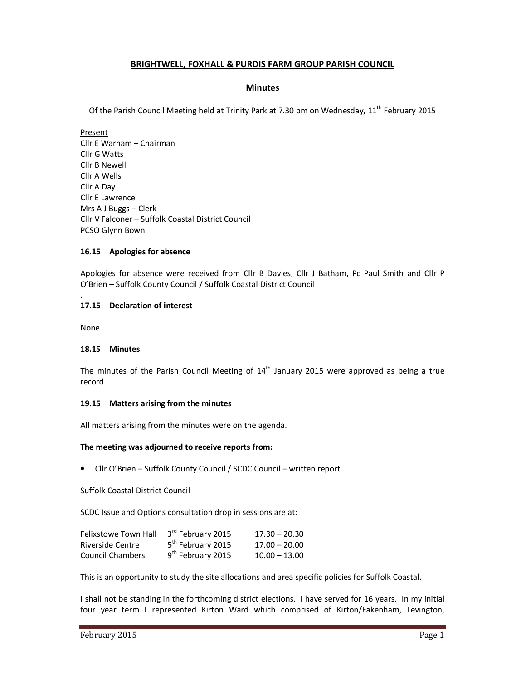# **BRIGHTWELL, FOXHALL & PURDIS FARM GROUP PARISH COUNCIL**

# **Minutes**

Of the Parish Council Meeting held at Trinity Park at 7.30 pm on Wednesday, 11<sup>th</sup> February 2015

Present Cllr E Warham – Chairman Cllr G Watts Cllr B Newell Cllr A Wells Cllr A Day Cllr E Lawrence Mrs A J Buggs – Clerk Cllr V Falconer – Suffolk Coastal District Council PCSO Glynn Bown

### **16.15 Apologies for absence**

Apologies for absence were received from Cllr B Davies, Cllr J Batham, Pc Paul Smith and Cllr P O'Brien – Suffolk County Council / Suffolk Coastal District Council

### **17.15 Declaration of interest**

None

.

#### **18.15 Minutes**

The minutes of the Parish Council Meeting of  $14<sup>th</sup>$  January 2015 were approved as being a true record.

#### **19.15 Matters arising from the minutes**

All matters arising from the minutes were on the agenda.

#### **The meeting was adjourned to receive reports from:**

• Cllr O'Brien – Suffolk County Council / SCDC Council – written report

#### Suffolk Coastal District Council

SCDC Issue and Options consultation drop in sessions are at:

| Felixstowe Town Hall    | 3rd February 2015             | $17.30 - 20.30$ |
|-------------------------|-------------------------------|-----------------|
| Riverside Centre        | 5 <sup>th</sup> February 2015 | $17.00 - 20.00$ |
| <b>Council Chambers</b> | 9 <sup>th</sup> February 2015 | $10.00 - 13.00$ |

This is an opportunity to study the site allocations and area specific policies for Suffolk Coastal.

I shall not be standing in the forthcoming district elections. I have served for 16 years. In my initial four year term I represented Kirton Ward which comprised of Kirton/Fakenham, Levington,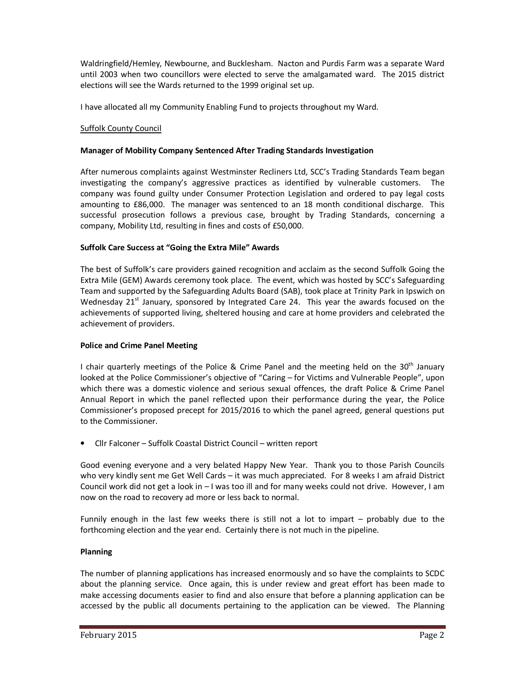Waldringfield/Hemley, Newbourne, and Bucklesham. Nacton and Purdis Farm was a separate Ward until 2003 when two councillors were elected to serve the amalgamated ward. The 2015 district elections will see the Wards returned to the 1999 original set up.

I have allocated all my Community Enabling Fund to projects throughout my Ward.

# Suffolk County Council

## **Manager of Mobility Company Sentenced After Trading Standards Investigation**

After numerous complaints against Westminster Recliners Ltd, SCC's Trading Standards Team began investigating the company's aggressive practices as identified by vulnerable customers. The company was found guilty under Consumer Protection Legislation and ordered to pay legal costs amounting to £86,000. The manager was sentenced to an 18 month conditional discharge. This successful prosecution follows a previous case, brought by Trading Standards, concerning a company, Mobility Ltd, resulting in fines and costs of £50,000.

## **Suffolk Care Success at "Going the Extra Mile" Awards**

The best of Suffolk's care providers gained recognition and acclaim as the second Suffolk Going the Extra Mile (GEM) Awards ceremony took place. The event, which was hosted by SCC's Safeguarding Team and supported by the Safeguarding Adults Board (SAB), took place at Trinity Park in Ipswich on Wednesday 21<sup>st</sup> January, sponsored by Integrated Care 24. This year the awards focused on the achievements of supported living, sheltered housing and care at home providers and celebrated the achievement of providers.

#### **Police and Crime Panel Meeting**

I chair quarterly meetings of the Police & Crime Panel and the meeting held on the 30<sup>th</sup> January looked at the Police Commissioner's objective of "Caring – for Victims and Vulnerable People", upon which there was a domestic violence and serious sexual offences, the draft Police & Crime Panel Annual Report in which the panel reflected upon their performance during the year, the Police Commissioner's proposed precept for 2015/2016 to which the panel agreed, general questions put to the Commissioner.

• Cllr Falconer – Suffolk Coastal District Council – written report

Good evening everyone and a very belated Happy New Year. Thank you to those Parish Councils who very kindly sent me Get Well Cards – it was much appreciated. For 8 weeks I am afraid District Council work did not get a look in – I was too ill and for many weeks could not drive. However, I am now on the road to recovery ad more or less back to normal.

Funnily enough in the last few weeks there is still not a lot to impart – probably due to the forthcoming election and the year end. Certainly there is not much in the pipeline.

#### **Planning**

The number of planning applications has increased enormously and so have the complaints to SCDC about the planning service. Once again, this is under review and great effort has been made to make accessing documents easier to find and also ensure that before a planning application can be accessed by the public all documents pertaining to the application can be viewed. The Planning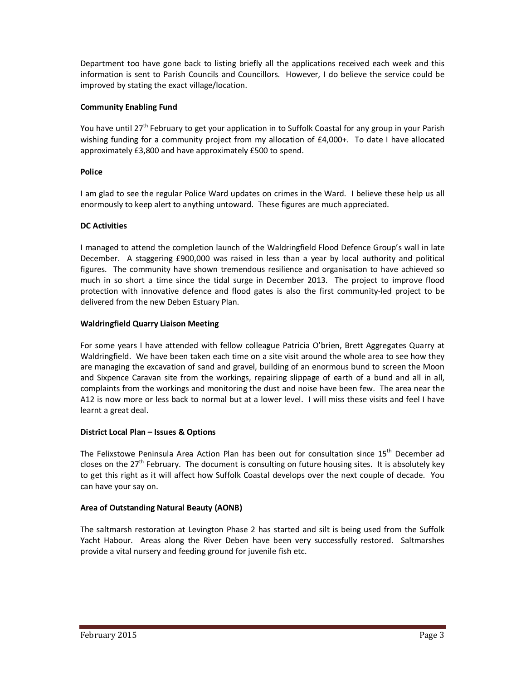Department too have gone back to listing briefly all the applications received each week and this information is sent to Parish Councils and Councillors. However, I do believe the service could be improved by stating the exact village/location.

# **Community Enabling Fund**

You have until 27<sup>th</sup> February to get your application in to Suffolk Coastal for any group in your Parish wishing funding for a community project from my allocation of £4,000+. To date I have allocated approximately £3,800 and have approximately £500 to spend.

# **Police**

I am glad to see the regular Police Ward updates on crimes in the Ward. I believe these help us all enormously to keep alert to anything untoward. These figures are much appreciated.

# **DC Activities**

I managed to attend the completion launch of the Waldringfield Flood Defence Group's wall in late December. A staggering £900,000 was raised in less than a year by local authority and political figures. The community have shown tremendous resilience and organisation to have achieved so much in so short a time since the tidal surge in December 2013. The project to improve flood protection with innovative defence and flood gates is also the first community-led project to be delivered from the new Deben Estuary Plan.

# **Waldringfield Quarry Liaison Meeting**

For some years I have attended with fellow colleague Patricia O'brien, Brett Aggregates Quarry at Waldringfield. We have been taken each time on a site visit around the whole area to see how they are managing the excavation of sand and gravel, building of an enormous bund to screen the Moon and Sixpence Caravan site from the workings, repairing slippage of earth of a bund and all in all, complaints from the workings and monitoring the dust and noise have been few. The area near the A12 is now more or less back to normal but at a lower level. I will miss these visits and feel I have learnt a great deal.

## **District Local Plan – Issues & Options**

The Felixstowe Peninsula Area Action Plan has been out for consultation since 15<sup>th</sup> December ad closes on the 27<sup>th</sup> February. The document is consulting on future housing sites. It is absolutely key to get this right as it will affect how Suffolk Coastal develops over the next couple of decade. You can have your say on.

# **Area of Outstanding Natural Beauty (AONB)**

The saltmarsh restoration at Levington Phase 2 has started and silt is being used from the Suffolk Yacht Habour. Areas along the River Deben have been very successfully restored. Saltmarshes provide a vital nursery and feeding ground for juvenile fish etc.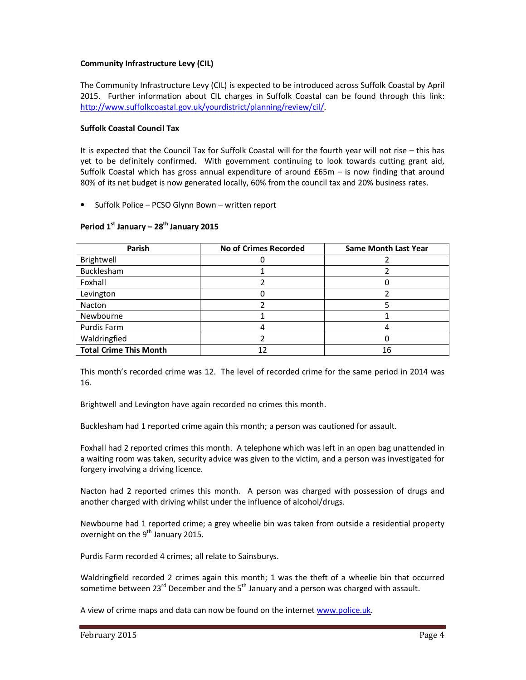### **Community Infrastructure Levy (CIL)**

The Community Infrastructure Levy (CIL) is expected to be introduced across Suffolk Coastal by April 2015. Further information about CIL charges in Suffolk Coastal can be found through this link: http://www.suffolkcoastal.gov.uk/yourdistrict/planning/review/cil/.

### **Suffolk Coastal Council Tax**

It is expected that the Council Tax for Suffolk Coastal will for the fourth year will not rise – this has yet to be definitely confirmed. With government continuing to look towards cutting grant aid, Suffolk Coastal which has gross annual expenditure of around £65m – is now finding that around 80% of its net budget is now generated locally, 60% from the council tax and 20% business rates.

• Suffolk Police – PCSO Glynn Bown – written report

| Parish                        | <b>No of Crimes Recorded</b> | <b>Same Month Last Year</b> |
|-------------------------------|------------------------------|-----------------------------|
| Brightwell                    |                              |                             |
| Bucklesham                    |                              |                             |
| Foxhall                       |                              |                             |
| Levington                     |                              |                             |
| Nacton                        |                              |                             |
| Newbourne                     |                              |                             |
| Purdis Farm                   |                              |                             |
| Waldringfied                  |                              |                             |
| <b>Total Crime This Month</b> |                              | 16                          |

#### **Period 1st January – 28th January 2015**

This month's recorded crime was 12. The level of recorded crime for the same period in 2014 was 16.

Brightwell and Levington have again recorded no crimes this month.

Bucklesham had 1 reported crime again this month; a person was cautioned for assault.

Foxhall had 2 reported crimes this month. A telephone which was left in an open bag unattended in a waiting room was taken, security advice was given to the victim, and a person was investigated for forgery involving a driving licence.

Nacton had 2 reported crimes this month. A person was charged with possession of drugs and another charged with driving whilst under the influence of alcohol/drugs.

Newbourne had 1 reported crime; a grey wheelie bin was taken from outside a residential property overnight on the  $9<sup>th</sup>$  January 2015.

Purdis Farm recorded 4 crimes; all relate to Sainsburys.

Waldringfield recorded 2 crimes again this month; 1 was the theft of a wheelie bin that occurred sometime between  $23^{rd}$  December and the  $5^{th}$  January and a person was charged with assault.

A view of crime maps and data can now be found on the internet www.police.uk.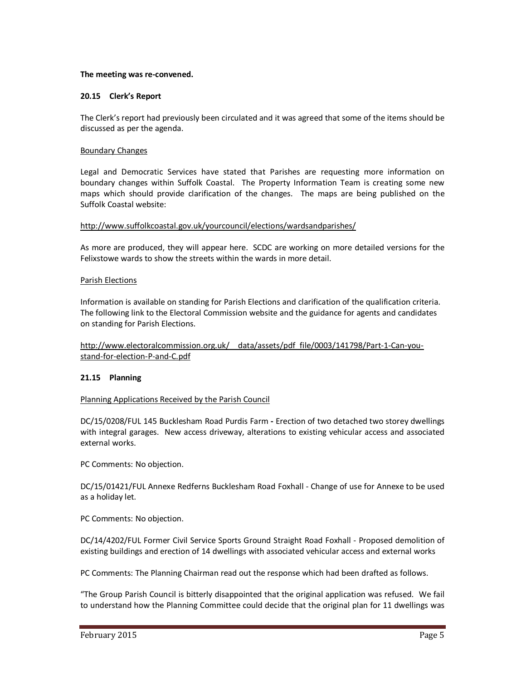#### **The meeting was re-convened.**

#### **20.15 Clerk's Report**

The Clerk's report had previously been circulated and it was agreed that some of the items should be discussed as per the agenda.

#### Boundary Changes

Legal and Democratic Services have stated that Parishes are requesting more information on boundary changes within Suffolk Coastal. The Property Information Team is creating some new maps which should provide clarification of the changes. The maps are being published on the Suffolk Coastal website:

#### http://www.suffolkcoastal.gov.uk/yourcouncil/elections/wardsandparishes/

As more are produced, they will appear here. SCDC are working on more detailed versions for the Felixstowe wards to show the streets within the wards in more detail.

#### Parish Elections

Information is available on standing for Parish Elections and clarification of the qualification criteria. The following link to the Electoral Commission website and the guidance for agents and candidates on standing for Parish Elections.

## http://www.electoralcommission.org.uk/ data/assets/pdf file/0003/141798/Part-1-Can-youstand-for-election-P-and-C.pdf

#### **21.15 Planning**

#### Planning Applications Received by the Parish Council

DC/15/0208/FUL 145 Bucklesham Road Purdis Farm **-** Erection of two detached two storey dwellings with integral garages. New access driveway, alterations to existing vehicular access and associated external works.

PC Comments: No objection.

DC/15/01421/FUL Annexe Redferns Bucklesham Road Foxhall - Change of use for Annexe to be used as a holiday let.

PC Comments: No objection.

DC/14/4202/FUL Former Civil Service Sports Ground Straight Road Foxhall - Proposed demolition of existing buildings and erection of 14 dwellings with associated vehicular access and external works

PC Comments: The Planning Chairman read out the response which had been drafted as follows.

"The Group Parish Council is bitterly disappointed that the original application was refused. We fail to understand how the Planning Committee could decide that the original plan for 11 dwellings was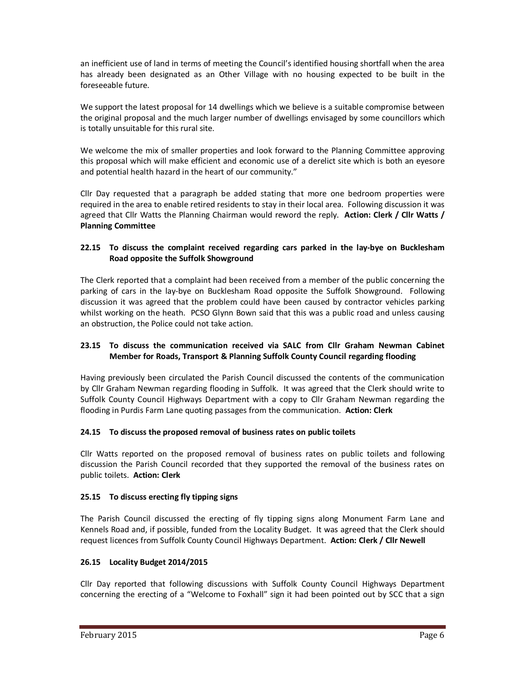an inefficient use of land in terms of meeting the Council's identified housing shortfall when the area has already been designated as an Other Village with no housing expected to be built in the foreseeable future.

We support the latest proposal for 14 dwellings which we believe is a suitable compromise between the original proposal and the much larger number of dwellings envisaged by some councillors which is totally unsuitable for this rural site.

We welcome the mix of smaller properties and look forward to the Planning Committee approving this proposal which will make efficient and economic use of a derelict site which is both an eyesore and potential health hazard in the heart of our community."

Cllr Day requested that a paragraph be added stating that more one bedroom properties were required in the area to enable retired residents to stay in their local area. Following discussion it was agreed that Cllr Watts the Planning Chairman would reword the reply. **Action: Clerk / Cllr Watts / Planning Committee** 

# **22.15 To discuss the complaint received regarding cars parked in the lay-bye on Bucklesham Road opposite the Suffolk Showground**

The Clerk reported that a complaint had been received from a member of the public concerning the parking of cars in the lay-bye on Bucklesham Road opposite the Suffolk Showground. Following discussion it was agreed that the problem could have been caused by contractor vehicles parking whilst working on the heath. PCSO Glynn Bown said that this was a public road and unless causing an obstruction, the Police could not take action.

# **23.15 To discuss the communication received via SALC from Cllr Graham Newman Cabinet Member for Roads, Transport & Planning Suffolk County Council regarding flooding**

Having previously been circulated the Parish Council discussed the contents of the communication by Cllr Graham Newman regarding flooding in Suffolk. It was agreed that the Clerk should write to Suffolk County Council Highways Department with a copy to Cllr Graham Newman regarding the flooding in Purdis Farm Lane quoting passages from the communication. **Action: Clerk** 

# **24.15 To discuss the proposed removal of business rates on public toilets**

Cllr Watts reported on the proposed removal of business rates on public toilets and following discussion the Parish Council recorded that they supported the removal of the business rates on public toilets. **Action: Clerk** 

## **25.15 To discuss erecting fly tipping signs**

The Parish Council discussed the erecting of fly tipping signs along Monument Farm Lane and Kennels Road and, if possible, funded from the Locality Budget. It was agreed that the Clerk should request licences from Suffolk County Council Highways Department. **Action: Clerk / Cllr Newell** 

# **26.15 Locality Budget 2014/2015**

Cllr Day reported that following discussions with Suffolk County Council Highways Department concerning the erecting of a "Welcome to Foxhall" sign it had been pointed out by SCC that a sign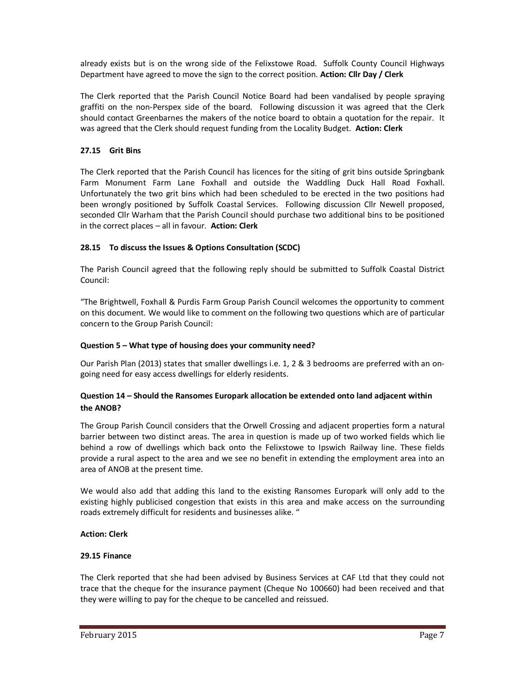already exists but is on the wrong side of the Felixstowe Road. Suffolk County Council Highways Department have agreed to move the sign to the correct position. **Action: Cllr Day / Clerk** 

The Clerk reported that the Parish Council Notice Board had been vandalised by people spraying graffiti on the non-Perspex side of the board. Following discussion it was agreed that the Clerk should contact Greenbarnes the makers of the notice board to obtain a quotation for the repair. It was agreed that the Clerk should request funding from the Locality Budget. **Action: Clerk** 

# **27.15 Grit Bins**

The Clerk reported that the Parish Council has licences for the siting of grit bins outside Springbank Farm Monument Farm Lane Foxhall and outside the Waddling Duck Hall Road Foxhall. Unfortunately the two grit bins which had been scheduled to be erected in the two positions had been wrongly positioned by Suffolk Coastal Services. Following discussion Cllr Newell proposed, seconded Cllr Warham that the Parish Council should purchase two additional bins to be positioned in the correct places – all in favour. **Action: Clerk** 

# **28.15 To discuss the Issues & Options Consultation (SCDC)**

The Parish Council agreed that the following reply should be submitted to Suffolk Coastal District Council:

"The Brightwell, Foxhall & Purdis Farm Group Parish Council welcomes the opportunity to comment on this document. We would like to comment on the following two questions which are of particular concern to the Group Parish Council:

## **Question 5 – What type of housing does your community need?**

Our Parish Plan (2013) states that smaller dwellings i.e. 1, 2 & 3 bedrooms are preferred with an ongoing need for easy access dwellings for elderly residents.

## **Question 14 – Should the Ransomes Europark allocation be extended onto land adjacent within the ANOB?**

The Group Parish Council considers that the Orwell Crossing and adjacent properties form a natural barrier between two distinct areas. The area in question is made up of two worked fields which lie behind a row of dwellings which back onto the Felixstowe to Ipswich Railway line. These fields provide a rural aspect to the area and we see no benefit in extending the employment area into an area of ANOB at the present time.

We would also add that adding this land to the existing Ransomes Europark will only add to the existing highly publicised congestion that exists in this area and make access on the surrounding roads extremely difficult for residents and businesses alike. "

## **Action: Clerk**

#### **29.15 Finance**

The Clerk reported that she had been advised by Business Services at CAF Ltd that they could not trace that the cheque for the insurance payment (Cheque No 100660) had been received and that they were willing to pay for the cheque to be cancelled and reissued.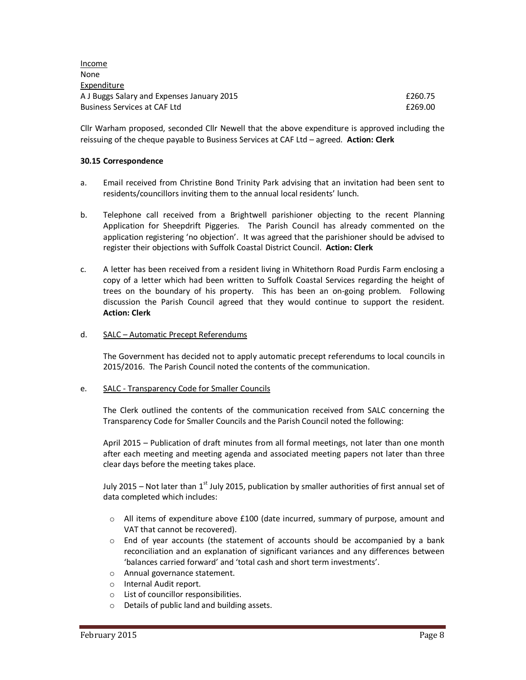Income None Expenditure A J Buggs Salary and Expenses January 2015 **Expenses** 3 and 260.75 Business Services at CAF Ltd **Example 269.00 Example 269.00** 

Cllr Warham proposed, seconded Cllr Newell that the above expenditure is approved including the reissuing of the cheque payable to Business Services at CAF Ltd – agreed. **Action: Clerk** 

#### **30.15 Correspondence**

- a. Email received from Christine Bond Trinity Park advising that an invitation had been sent to residents/councillors inviting them to the annual local residents' lunch.
- b. Telephone call received from a Brightwell parishioner objecting to the recent Planning Application for Sheepdrift Piggeries. The Parish Council has already commented on the application registering 'no objection'. It was agreed that the parishioner should be advised to register their objections with Suffolk Coastal District Council. **Action: Clerk**
- c. A letter has been received from a resident living in Whitethorn Road Purdis Farm enclosing a copy of a letter which had been written to Suffolk Coastal Services regarding the height of trees on the boundary of his property. This has been an on-going problem. Following discussion the Parish Council agreed that they would continue to support the resident. **Action: Clerk**

#### d. SALC – Automatic Precept Referendums

The Government has decided not to apply automatic precept referendums to local councils in 2015/2016. The Parish Council noted the contents of the communication.

### e. SALC - Transparency Code for Smaller Councils

The Clerk outlined the contents of the communication received from SALC concerning the Transparency Code for Smaller Councils and the Parish Council noted the following:

 April 2015 – Publication of draft minutes from all formal meetings, not later than one month after each meeting and meeting agenda and associated meeting papers not later than three clear days before the meeting takes place.

July 2015 – Not later than 1st July 2015, publication by smaller authorities of first annual set of data completed which includes:

- $\circ$  All items of expenditure above £100 (date incurred, summary of purpose, amount and VAT that cannot be recovered).
- $\circ$  End of year accounts (the statement of accounts should be accompanied by a bank reconciliation and an explanation of significant variances and any differences between 'balances carried forward' and 'total cash and short term investments'.
- o Annual governance statement.
- o Internal Audit report.
- o List of councillor responsibilities.
- o Details of public land and building assets.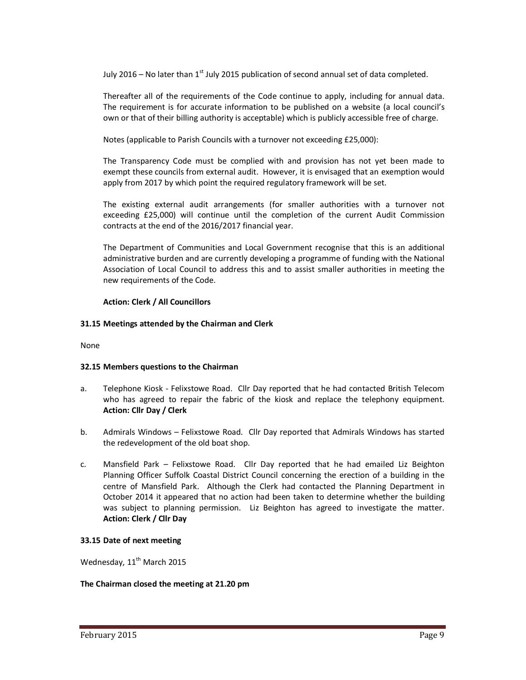July 2016 – No later than  $1<sup>st</sup>$  July 2015 publication of second annual set of data completed.

Thereafter all of the requirements of the Code continue to apply, including for annual data. The requirement is for accurate information to be published on a website (a local council's own or that of their billing authority is acceptable) which is publicly accessible free of charge.

Notes (applicable to Parish Councils with a turnover not exceeding £25,000):

The Transparency Code must be complied with and provision has not yet been made to exempt these councils from external audit. However, it is envisaged that an exemption would apply from 2017 by which point the required regulatory framework will be set.

The existing external audit arrangements (for smaller authorities with a turnover not exceeding £25,000) will continue until the completion of the current Audit Commission contracts at the end of the 2016/2017 financial year.

The Department of Communities and Local Government recognise that this is an additional administrative burden and are currently developing a programme of funding with the National Association of Local Council to address this and to assist smaller authorities in meeting the new requirements of the Code.

### **Action: Clerk / All Councillors**

### **31.15 Meetings attended by the Chairman and Clerk**

None

#### **32.15 Members questions to the Chairman**

- a. Telephone Kiosk Felixstowe Road. Cllr Day reported that he had contacted British Telecom who has agreed to repair the fabric of the kiosk and replace the telephony equipment. **Action: Cllr Day / Clerk**
- b. Admirals Windows Felixstowe Road. Cllr Day reported that Admirals Windows has started the redevelopment of the old boat shop.
- c. Mansfield Park Felixstowe Road. Cllr Day reported that he had emailed Liz Beighton Planning Officer Suffolk Coastal District Council concerning the erection of a building in the centre of Mansfield Park. Although the Clerk had contacted the Planning Department in October 2014 it appeared that no action had been taken to determine whether the building was subject to planning permission. Liz Beighton has agreed to investigate the matter. **Action: Clerk / Cllr Day**

#### **33.15 Date of next meeting**

Wednesday, 11<sup>th</sup> March 2015

#### **The Chairman closed the meeting at 21.20 pm**